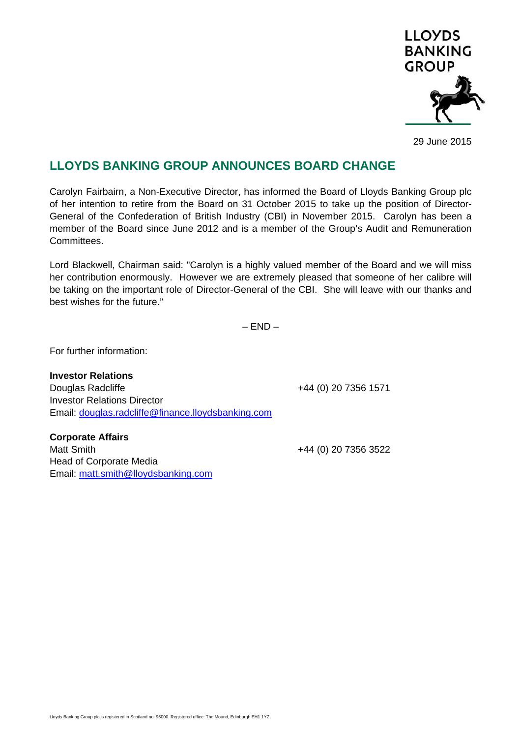

29 June 2015

## **LLOYDS BANKING GROUP ANNOUNCES BOARD CHANGE**

Carolyn Fairbairn, a Non-Executive Director, has informed the Board of Lloyds Banking Group plc of her intention to retire from the Board on 31 October 2015 to take up the position of Director-General of the Confederation of British Industry (CBI) in November 2015. Carolyn has been a member of the Board since June 2012 and is a member of the Group's Audit and Remuneration Committees.

Lord Blackwell, Chairman said: "Carolyn is a highly valued member of the Board and we will miss her contribution enormously. However we are extremely pleased that someone of her calibre will be taking on the important role of Director-General of the CBI. She will leave with our thanks and best wishes for the future."

 $-$  END  $-$ 

For further information:

**Investor Relations**  Douglas Radcliffe **+44 (0) 20 7356 1571** Investor Relations Director Email: douglas.radcliffe@finance.lloydsbanking.com

**Corporate Affairs**  Matt Smith +44 (0) 20 7356 3522 Head of Corporate Media Email: matt.smith@lloydsbanking.com